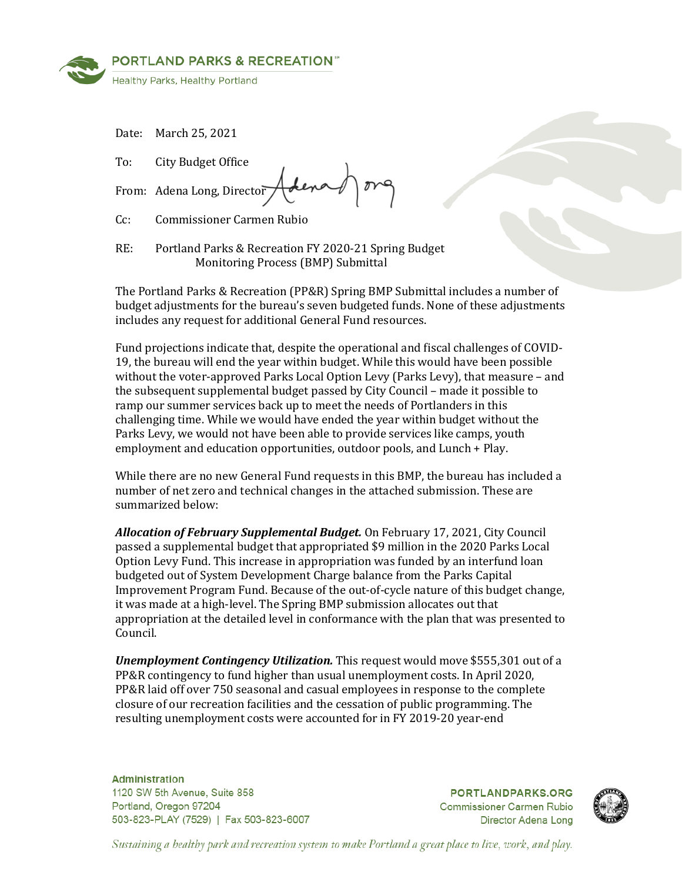

Date: March 25, 2021

To: City Budget Office

From: Adena Long, Director

Cc: Commissioner Carmen Rubio

RE: Portland Parks & Recreation FY 2020-21 Spring Budget Monitoring Process (BMP) Submittal

The Portland Parks & Recreation (PP&R) Spring BMP Submittal includes a number of budget adjustments for the bureau's seven budgeted funds. None of these adjustments includes any request for additional General Fund resources.

Fund projections indicate that, despite the operational and fiscal challenges of COVID-19, the bureau will end the year within budget. While this would have been possible without the voter-approved Parks Local Option Levy (Parks Levy), that measure – and the subsequent supplemental budget passed by City Council – made it possible to ramp our summer services back up to meet the needs of Portlanders in this challenging time. While we would have ended the year within budget without the Parks Levy, we would not have been able to provide services like camps, youth employment and education opportunities, outdoor pools, and Lunch + Play.

While there are no new General Fund requests in this BMP, the bureau has included a number of net zero and technical changes in the attached submission. These are summarized below:

*Allocation of February Supplemental Budget.* On February 17, 2021, City Council passed a supplemental budget that appropriated \$9 million in the 2020 Parks Local Option Levy Fund. This increase in appropriation was funded by an interfund loan budgeted out of System Development Charge balance from the Parks Capital Improvement Program Fund. Because of the out-of-cycle nature of this budget change, it was made at a high-level. The Spring BMP submission allocates out that appropriation at the detailed level in conformance with the plan that was presented to Council.

*Unemployment Contingency Utilization.* This request would move \$555,301 out of a PP&R contingency to fund higher than usual unemployment costs. In April 2020, PP&R laid off over 750 seasonal and casual employees in response to the complete closure of our recreation facilities and the cessation of public programming. The resulting unemployment costs were accounted for in FY 2019-20 year-end

**Administration** 1120 SW 5th Avenue, Suite 858 Portland, Oregon 97204 503-823-PLAY (7529) | Fax 503-823-6007

**PORTLANDPARKS.ORG Commissioner Carmen Rubio** Director Adena Long



Sustaining a healthy park and recreation system to make Portland a great place to live, work, and play.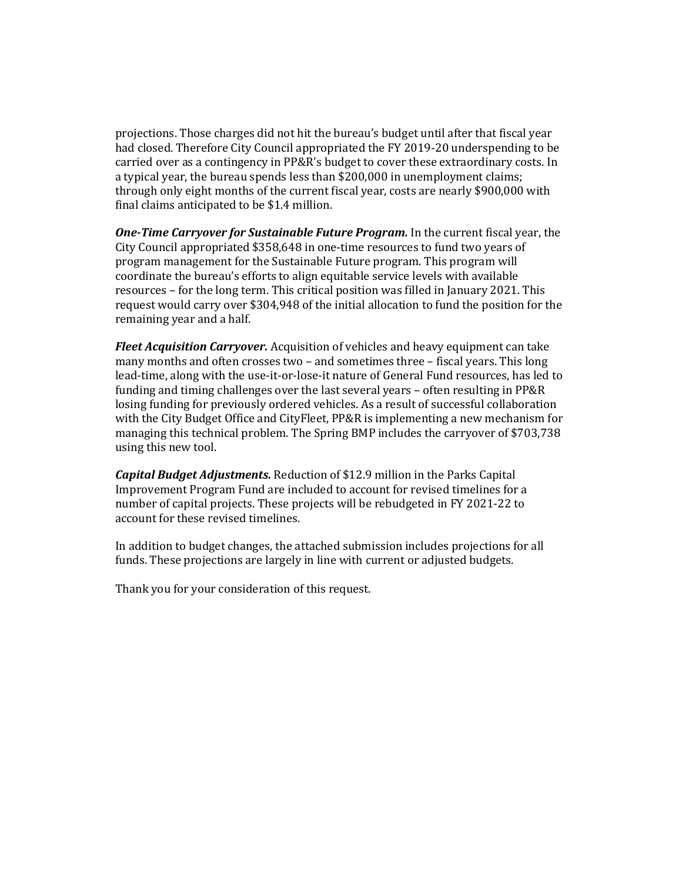projections. Those charges did not hit the bureau's budget until after that fiscal year had closed. Therefore City Council appropriated the FY 2019-20 underspending to be carried over as a contingency in PP&R's budget to cover these extraordinary costs. In a typical year, the bureau spends less than \$200,000 in unemployment claims; through only eight months of the current fiscal year, costs are nearly \$900,000 with final claims anticipated to be \$1.4 million.

*One-Time Carryover for Sustainable Future Program.* In the current fiscal year, the City Council appropriated \$358,648 in one-time resources to fund two years of program management for the Sustainable Future program. This program will coordinate the bureau's efforts to align equitable service levels with available resources – for the long term. This critical position was filled in January 2021. This request would carry over \$304,948 of the initial allocation to fund the position for the remaining year and a half.

*Fleet Acquisition Carryover.* Acquisition of vehicles and heavy equipment can take many months and often crosses two – and sometimes three – fiscal years. This long lead-time, along with the use-it-or-lose-it nature of General Fund resources, has led to funding and timing challenges over the last several years – often resulting in PP&R losing funding for previously ordered vehicles. As a result of successful collaboration with the City Budget Office and CityFleet, PP&R is implementing a new mechanism for managing this technical problem. The Spring BMP includes the carryover of \$703,738 using this new tool.

*Capital Budget Adjustments.* Reduction of \$12.9 million in the Parks Capital Improvement Program Fund are included to account for revised timelines for a number of capital projects. These projects will be rebudgeted in FY 2021-22 to account for these revised timelines.

In addition to budget changes, the attached submission includes projections for all funds. These projections are largely in line with current or adjusted budgets.

Thank you for your consideration of this request.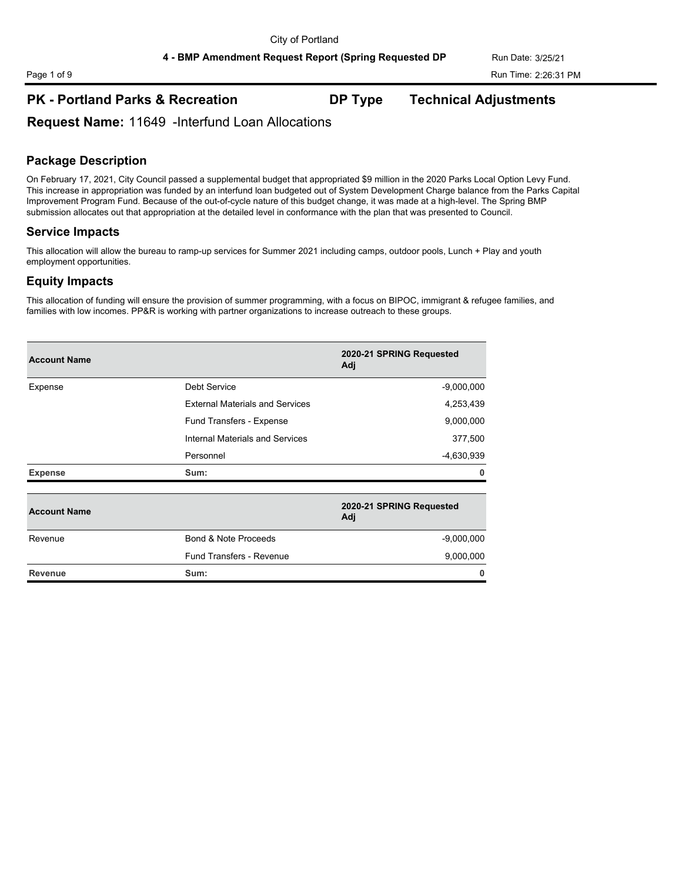## **PK - Portland Parks & Recreation DP Type Technical Adjustments**

**Request Name:** 11649 -Interfund Loan Allocations

### **Package Description**

On February 17, 2021, City Council passed a supplemental budget that appropriated \$9 million in the 2020 Parks Local Option Levy Fund. This increase in appropriation was funded by an interfund loan budgeted out of System Development Charge balance from the Parks Capital Improvement Program Fund. Because of the out-of-cycle nature of this budget change, it was made at a high-level. The Spring BMP submission allocates out that appropriation at the detailed level in conformance with the plan that was presented to Council.

### **Service Impacts**

This allocation will allow the bureau to ramp-up services for Summer 2021 including camps, outdoor pools, Lunch + Play and youth employment opportunities.

### **Equity Impacts**

This allocation of funding will ensure the provision of summer programming, with a focus on BIPOC, immigrant & refugee families, and families with low incomes. PP&R is working with partner organizations to increase outreach to these groups.

| <b>Account Name</b> |                                        | 2020-21 SPRING Requested<br>Adj |
|---------------------|----------------------------------------|---------------------------------|
| Expense             | <b>Debt Service</b>                    | $-9,000,000$                    |
|                     | <b>External Materials and Services</b> | 4,253,439                       |
|                     | Fund Transfers - Expense               | 9,000,000                       |
|                     | Internal Materials and Services        | 377,500                         |
|                     | Personnel                              | -4,630,939                      |
| <b>Expense</b>      | Sum:                                   | 0                               |
| <b>Account Name</b> |                                        | 2020-21 SPRING Requested<br>Adj |
| Revenue             | Bond & Note Proceeds                   | $-9,000,000$                    |
|                     | Fund Transfers - Revenue               | 9,000,000                       |
| <b>Revenue</b>      | Sum:                                   | 0                               |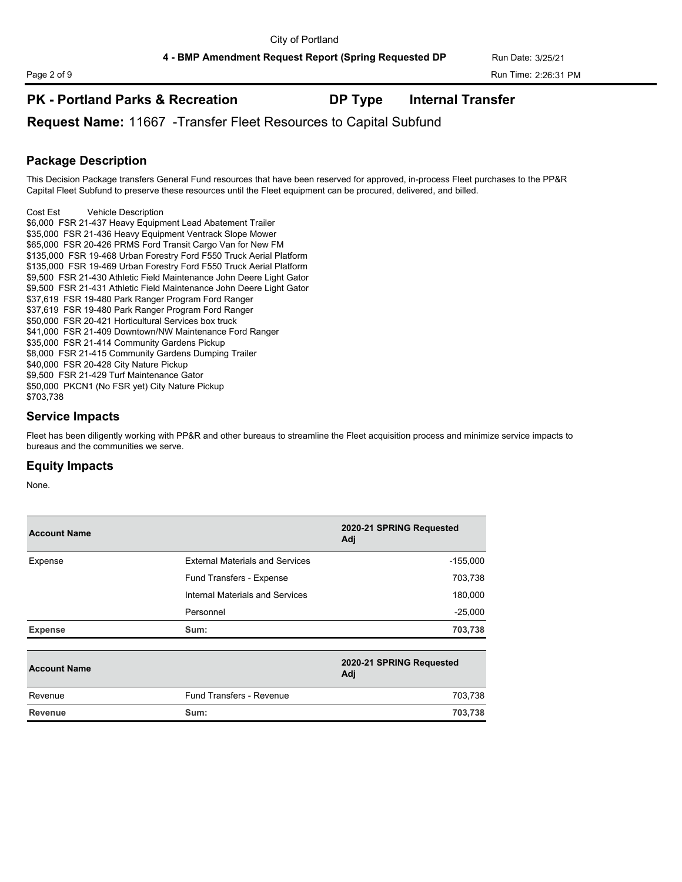## **PK - Portland Parks & Recreation DP Type Internal Transfer**

**Request Name:** 11667 -Transfer Fleet Resources to Capital Subfund

### **Package Description**

This Decision Package transfers General Fund resources that have been reserved for approved, in-process Fleet purchases to the PP&R Capital Fleet Subfund to preserve these resources until the Fleet equipment can be procured, delivered, and billed.

Cost Est Vehicle Description \$6,000 FSR 21-437 Heavy Equipment Lead Abatement Trailer \$35,000 FSR 21-436 Heavy Equipment Ventrack Slope Mower \$65,000 FSR 20-426 PRMS Ford Transit Cargo Van for New FM \$135,000 FSR 19-468 Urban Forestry Ford F550 Truck Aerial Platform \$135,000 FSR 19-469 Urban Forestry Ford F550 Truck Aerial Platform \$9,500 FSR 21-430 Athletic Field Maintenance John Deere Light Gator \$9,500 FSR 21-431 Athletic Field Maintenance John Deere Light Gator \$37,619 FSR 19-480 Park Ranger Program Ford Ranger \$37,619 FSR 19-480 Park Ranger Program Ford Ranger \$50,000 FSR 20-421 Horticultural Services box truck \$41,000 FSR 21-409 Downtown/NW Maintenance Ford Ranger \$35,000 FSR 21-414 Community Gardens Pickup \$8,000 FSR 21-415 Community Gardens Dumping Trailer \$40,000 FSR 20-428 City Nature Pickup \$9,500 FSR 21-429 Turf Maintenance Gator \$50,000 PKCN1 (No FSR yet) City Nature Pickup \$703,738

### **Service Impacts**

Fleet has been diligently working with PP&R and other bureaus to streamline the Fleet acquisition process and minimize service impacts to bureaus and the communities we serve.

### **Equity Impacts**

| <b>Account Name</b> |                                        | 2020-21 SPRING Requested<br>Adj |  |
|---------------------|----------------------------------------|---------------------------------|--|
| Expense             | <b>External Materials and Services</b> | $-155,000$                      |  |
|                     | Fund Transfers - Expense               | 703,738                         |  |
|                     | Internal Materials and Services        | 180,000                         |  |
|                     | Personnel                              | $-25,000$                       |  |
| <b>Expense</b>      | Sum:                                   | 703,738                         |  |
| <b>Account Name</b> |                                        | 2020-21 SPRING Requested<br>Adj |  |
| Revenue             | <b>Fund Transfers - Revenue</b>        | 703,738                         |  |
| <b>Revenue</b>      | Sum:                                   | 703,738                         |  |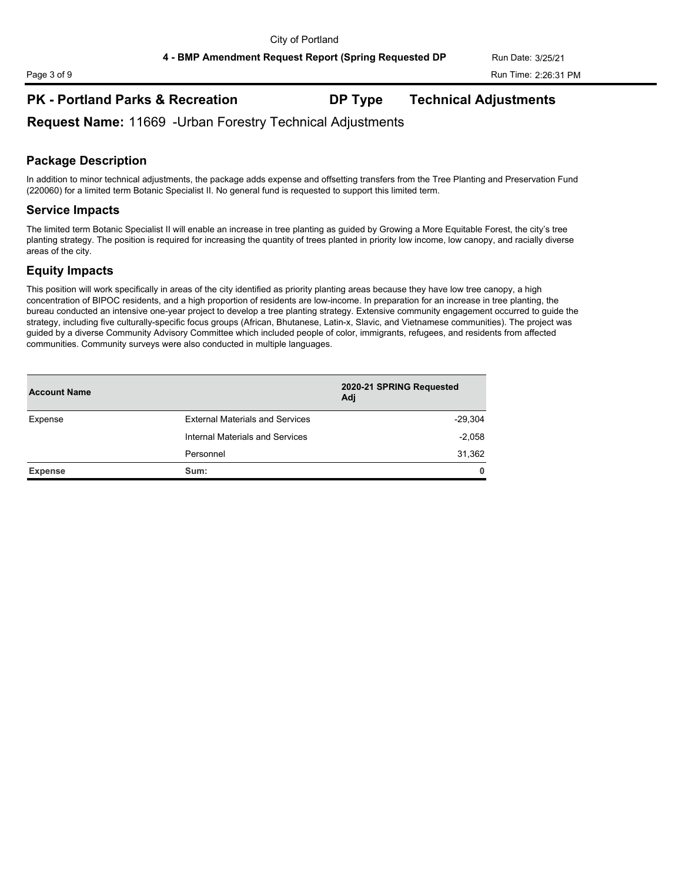### **PK - Portland Parks & Recreation DP Type Technical Adjustments**

**Request Name:** 11669 -Urban Forestry Technical Adjustments

# **Package Description**

In addition to minor technical adjustments, the package adds expense and offsetting transfers from the Tree Planting and Preservation Fund (220060) for a limited term Botanic Specialist II. No general fund is requested to support this limited term.

### **Service Impacts**

The limited term Botanic Specialist II will enable an increase in tree planting as guided by Growing a More Equitable Forest, the city's tree planting strategy. The position is required for increasing the quantity of trees planted in priority low income, low canopy, and racially diverse areas of the city.

### **Equity Impacts**

This position will work specifically in areas of the city identified as priority planting areas because they have low tree canopy, a high concentration of BIPOC residents, and a high proportion of residents are low-income. In preparation for an increase in tree planting, the bureau conducted an intensive one-year project to develop a tree planting strategy. Extensive community engagement occurred to guide the strategy, including five culturally-specific focus groups (African, Bhutanese, Latin-x, Slavic, and Vietnamese communities). The project was guided by a diverse Community Advisory Committee which included people of color, immigrants, refugees, and residents from affected communities. Community surveys were also conducted in multiple languages.

| <b>Account Name</b> |                                        | 2020-21 SPRING Requested<br>Adj |
|---------------------|----------------------------------------|---------------------------------|
| Expense             | <b>External Materials and Services</b> | $-29,304$                       |
|                     | Internal Materials and Services        | $-2,058$                        |
|                     | Personnel                              | 31,362                          |
| <b>Expense</b>      | Sum:                                   | 0                               |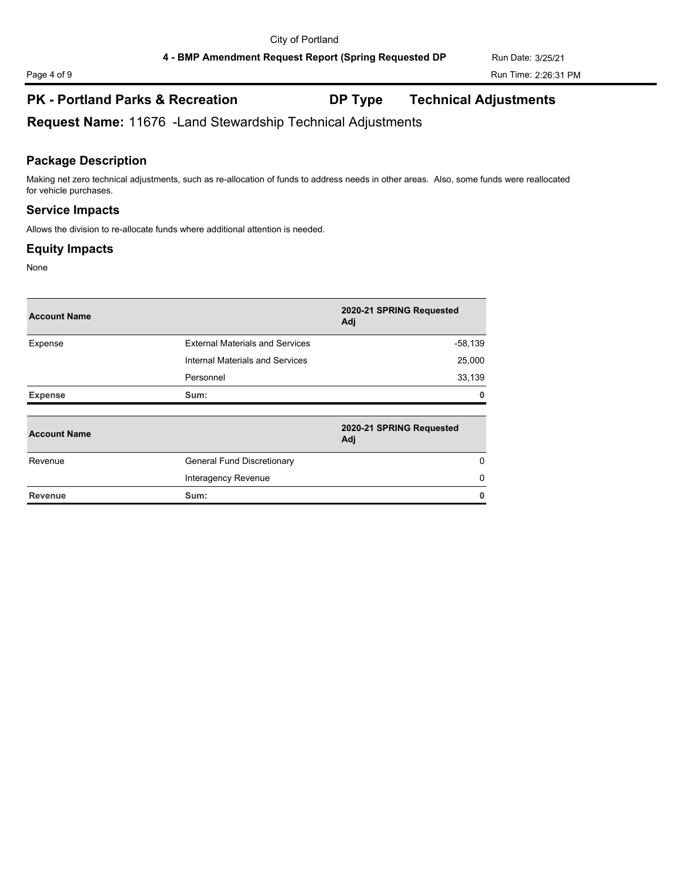# **PK - Portland Parks & Recreation DP Type Technical Adjustments**

**Request Name:** 11676 -Land Stewardship Technical Adjustments

# **Package Description**

Making net zero technical adjustments, such as re-allocation of funds to address needs in other areas. Also, some funds were reallocated for vehicle purchases.

## **Service Impacts**

Allows the division to re-allocate funds where additional attention is needed.

# **Equity Impacts**

None

| <b>Account Name</b> |                                        | 2020-21 SPRING Requested<br>Adj |
|---------------------|----------------------------------------|---------------------------------|
| Expense             | <b>External Materials and Services</b> | $-58,139$                       |
|                     | Internal Materials and Services        | 25,000                          |
|                     | Personnel                              | 33,139                          |
| <b>Expense</b>      | Sum:                                   | n                               |
| <b>Account Name</b> |                                        | 2020-21 SPRING Requested<br>Adj |
| Revenue             | <b>General Fund Discretionary</b>      | $\Omega$                        |
|                     | Interagency Revenue                    | 0                               |
| <b>Revenue</b>      | Sum:                                   | O                               |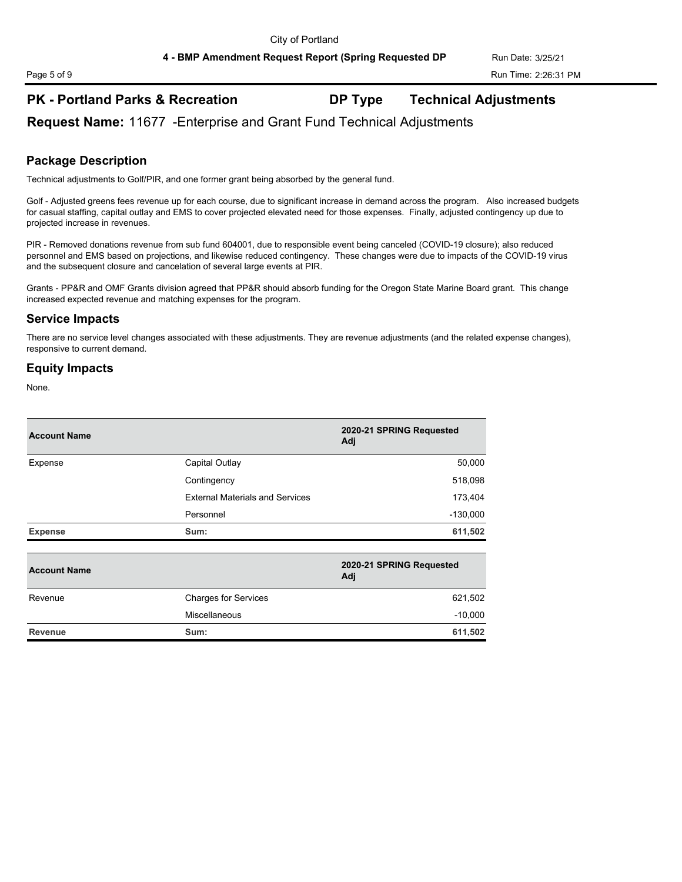# **PK - Portland Parks & Recreation DP Type Technical Adjustments**

**Request Name:** 11677 -Enterprise and Grant Fund Technical Adjustments

### **Package Description**

Technical adjustments to Golf/PIR, and one former grant being absorbed by the general fund.

Golf - Adjusted greens fees revenue up for each course, due to significant increase in demand across the program. Also increased budgets for casual staffing, capital outlay and EMS to cover projected elevated need for those expenses. Finally, adjusted contingency up due to projected increase in revenues.

PIR - Removed donations revenue from sub fund 604001, due to responsible event being canceled (COVID-19 closure); also reduced personnel and EMS based on projections, and likewise reduced contingency. These changes were due to impacts of the COVID-19 virus and the subsequent closure and cancelation of several large events at PIR.

Grants - PP&R and OMF Grants division agreed that PP&R should absorb funding for the Oregon State Marine Board grant. This change increased expected revenue and matching expenses for the program.

### **Service Impacts**

There are no service level changes associated with these adjustments. They are revenue adjustments (and the related expense changes), responsive to current demand.

### **Equity Impacts**

| <b>Account Name</b> |                                        | 2020-21 SPRING Requested<br>Adj |
|---------------------|----------------------------------------|---------------------------------|
| Expense             | Capital Outlay                         | 50,000                          |
|                     | Contingency                            | 518,098                         |
|                     | <b>External Materials and Services</b> | 173,404                         |
|                     | Personnel                              | $-130,000$                      |
| <b>Expense</b>      | Sum:                                   | 611,502                         |
|                     |                                        |                                 |

| <b>Account Name</b> |                             | 2020-21 SPRING Requested<br>Adj |  |
|---------------------|-----------------------------|---------------------------------|--|
| Revenue             | <b>Charges for Services</b> | 621,502                         |  |
|                     | Miscellaneous               | $-10,000$                       |  |
| <b>Revenue</b>      | Sum:                        | 611,502                         |  |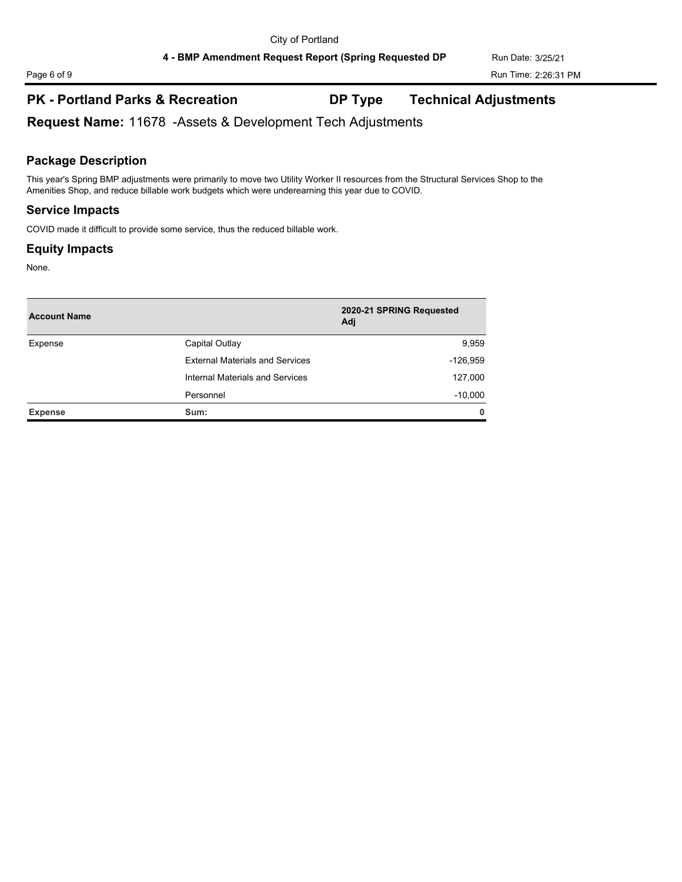# **PK - Portland Parks & Recreation DP Type Technical Adjustments**

**Request Name:** 11678 -Assets & Development Tech Adjustments

### **Package Description**

This year's Spring BMP adjustments were primarily to move two Utility Worker II resources from the Structural Services Shop to the Amenities Shop, and reduce billable work budgets which were underearning this year due to COVID.

### **Service Impacts**

COVID made it difficult to provide some service, thus the reduced billable work.

### **Equity Impacts**

| <b>Account Name</b> |                                        | 2020-21 SPRING Requested<br>Adj |  |
|---------------------|----------------------------------------|---------------------------------|--|
| Expense             | Capital Outlay                         | 9,959                           |  |
|                     | <b>External Materials and Services</b> | $-126,959$                      |  |
|                     | Internal Materials and Services        | 127,000                         |  |
|                     | Personnel                              | $-10,000$                       |  |
| <b>Expense</b>      | Sum:                                   | $\mathbf{0}$                    |  |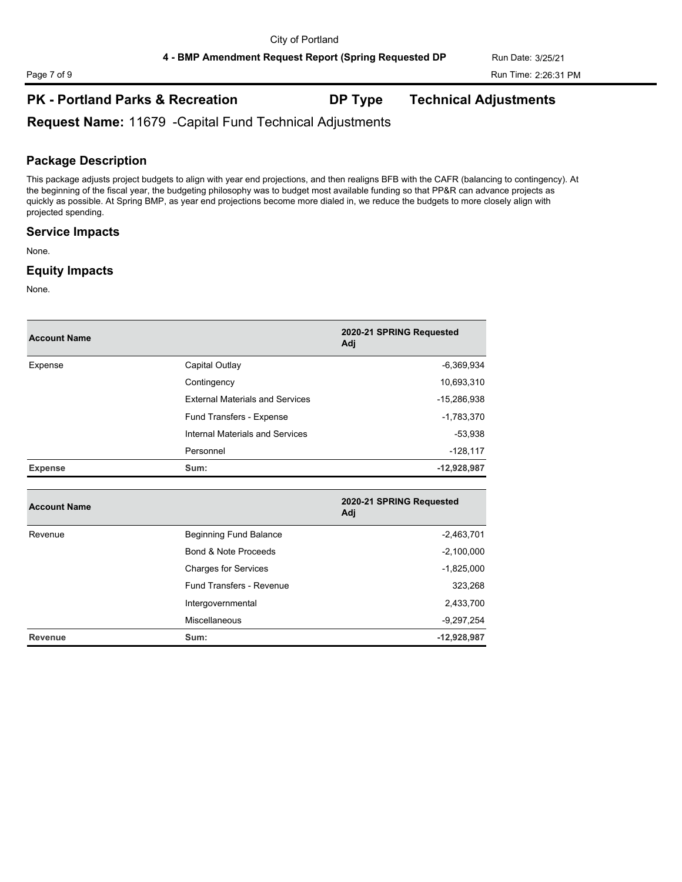# **PK - Portland Parks & Recreation DP Type Technical Adjustments**

**Request Name:** 11679 -Capital Fund Technical Adjustments

### **Package Description**

This package adjusts project budgets to align with year end projections, and then realigns BFB with the CAFR (balancing to contingency). At the beginning of the fiscal year, the budgeting philosophy was to budget most available funding so that PP&R can advance projects as quickly as possible. At Spring BMP, as year end projections become more dialed in, we reduce the budgets to more closely align with projected spending.

### **Service Impacts**

None.

### **Equity Impacts**

| <b>Account Name</b> |                                        | 2020-21 SPRING Requested<br>Adj |
|---------------------|----------------------------------------|---------------------------------|
| Expense             | Capital Outlay                         | $-6,369,934$                    |
|                     | Contingency                            | 10,693,310                      |
|                     | <b>External Materials and Services</b> | -15,286,938                     |
|                     | Fund Transfers - Expense               | $-1,783,370$                    |
|                     | Internal Materials and Services        | $-53,938$                       |
|                     | Personnel                              | $-128,117$                      |
| <b>Expense</b>      | Sum:                                   | $-12,928,987$                   |
|                     |                                        |                                 |
| <b>Account Name</b> |                                        | 2020-21 SPRING Requested<br>Adj |
| Revenue             | Beginning Fund Balance                 | $-2,463,701$                    |
|                     | Bond & Note Proceeds                   | $-2,100,000$                    |
|                     | <b>Charges for Services</b>            | $-1,825,000$                    |
|                     | <b>Fund Transfers - Revenue</b>        | 323,268                         |
|                     | Intergovernmental                      | 2,433,700                       |
|                     | <b>Miscellaneous</b>                   | $-9,297,254$                    |
| Revenue             | Sum:                                   | $-12,928,987$                   |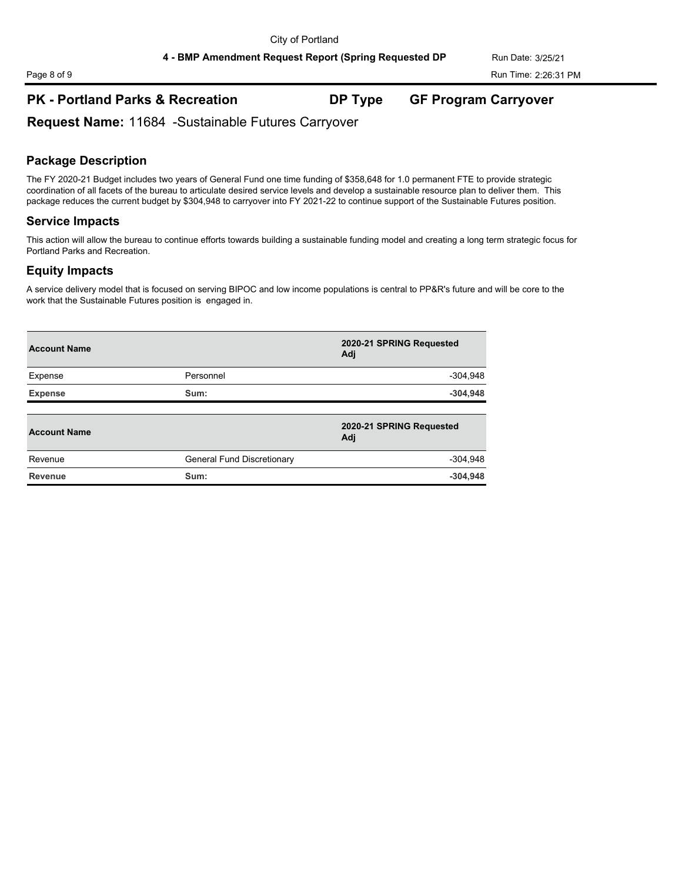## **PK - Portland Parks & Recreation DP Type GF Program Carryover**

**Request Name:** 11684 -Sustainable Futures Carryover

### **Package Description**

The FY 2020-21 Budget includes two years of General Fund one time funding of \$358,648 for 1.0 permanent FTE to provide strategic coordination of all facets of the bureau to articulate desired service levels and develop a sustainable resource plan to deliver them. This package reduces the current budget by \$304,948 to carryover into FY 2021-22 to continue support of the Sustainable Futures position.

### **Service Impacts**

This action will allow the bureau to continue efforts towards building a sustainable funding model and creating a long term strategic focus for Portland Parks and Recreation.

### **Equity Impacts**

A service delivery model that is focused on serving BIPOC and low income populations is central to PP&R's future and will be core to the work that the Sustainable Futures position is engaged in.

| <b>Account Name</b> |                            | 2020-21 SPRING Requested<br>Adj |
|---------------------|----------------------------|---------------------------------|
| Expense             | Personnel                  | $-304,948$                      |
| <b>Expense</b>      | Sum:                       | $-304,948$                      |
| <b>Account Name</b> |                            | 2020-21 SPRING Requested<br>Adj |
| Revenue             | General Fund Discretionary | $-304,948$                      |
| <b>Revenue</b>      | Sum:                       | $-304,948$                      |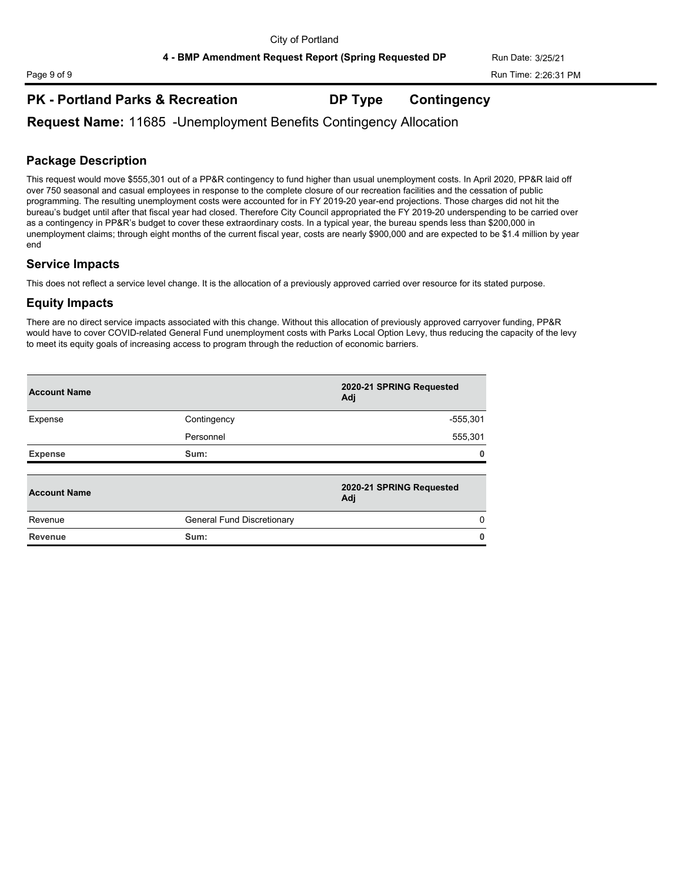## **PK - Portland Parks & Recreation DP Type Contingency**

**Request Name:** 11685 -Unemployment Benefits Contingency Allocation

## **Package Description**

This request would move \$555,301 out of a PP&R contingency to fund higher than usual unemployment costs. In April 2020, PP&R laid off over 750 seasonal and casual employees in response to the complete closure of our recreation facilities and the cessation of public programming. The resulting unemployment costs were accounted for in FY 2019-20 year-end projections. Those charges did not hit the bureau's budget until after that fiscal year had closed. Therefore City Council appropriated the FY 2019-20 underspending to be carried over as a contingency in PP&R's budget to cover these extraordinary costs. In a typical year, the bureau spends less than \$200,000 in unemployment claims; through eight months of the current fiscal year, costs are nearly \$900,000 and are expected to be \$1.4 million by year end

### **Service Impacts**

This does not reflect a service level change. It is the allocation of a previously approved carried over resource for its stated purpose.

### **Equity Impacts**

There are no direct service impacts associated with this change. Without this allocation of previously approved carryover funding, PP&R would have to cover COVID-related General Fund unemployment costs with Parks Local Option Levy, thus reducing the capacity of the levy to meet its equity goals of increasing access to program through the reduction of economic barriers.

| <b>Account Name</b> |                            | 2020-21 SPRING Requested<br>Adj |  |
|---------------------|----------------------------|---------------------------------|--|
| Expense             | Contingency                | $-555,301$                      |  |
|                     | Personnel                  | 555,301                         |  |
| <b>Expense</b>      | Sum:                       | 0                               |  |
|                     |                            |                                 |  |
| <b>Account Name</b> |                            | 2020-21 SPRING Requested<br>Adj |  |
| Revenue             | General Fund Discretionary | $\Omega$                        |  |
| <b>Revenue</b>      | Sum:                       | 0                               |  |
|                     |                            |                                 |  |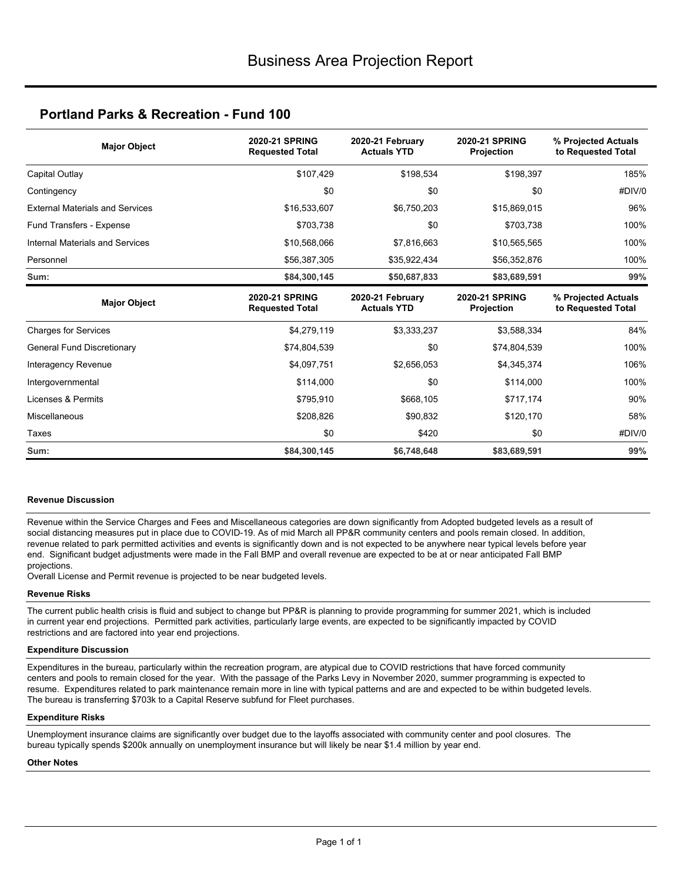| <b>Major Object</b>                    | <b>2020-21 SPRING</b><br><b>Requested Total</b> | 2020-21 February<br><b>Actuals YTD</b> | <b>2020-21 SPRING</b><br>Projection | % Projected Actuals<br>to Requested Total |
|----------------------------------------|-------------------------------------------------|----------------------------------------|-------------------------------------|-------------------------------------------|
| Capital Outlay                         | \$107,429                                       | \$198,534                              | \$198,397                           | 185%                                      |
| Contingency                            | \$0                                             | \$0                                    | \$0                                 | #DIV/0                                    |
| <b>External Materials and Services</b> | \$16,533,607                                    | \$6,750,203                            | \$15,869,015                        | 96%                                       |
| Fund Transfers - Expense               | \$703,738                                       | \$0                                    | \$703,738                           | 100%                                      |
| Internal Materials and Services        | \$10,568,066                                    | \$7,816,663                            | \$10,565,565                        | 100%                                      |
| Personnel                              | \$56,387,305                                    | \$35,922,434                           | \$56,352,876                        | 100%                                      |
| Sum:                                   | \$84,300,145                                    | \$50,687,833                           | \$83,689,591                        | 99%                                       |
| <b>Major Object</b>                    | <b>2020-21 SPRING</b><br><b>Requested Total</b> | 2020-21 February<br><b>Actuals YTD</b> | <b>2020-21 SPRING</b><br>Projection | % Projected Actuals<br>to Requested Total |
| <b>Charges for Services</b>            | \$4,279,119                                     | \$3,333,237                            | \$3,588,334                         | 84%                                       |
| General Fund Discretionary             | \$74,804,539                                    | \$0                                    | \$74,804,539                        | 100%                                      |
| Interagency Revenue                    | \$4,097,751                                     | \$2,656,053                            | \$4,345,374                         | 106%                                      |
| Intergovernmental                      | \$114,000                                       | \$0                                    | \$114,000                           | 100%                                      |
| Licenses & Permits                     | \$795,910                                       | \$668,105                              | \$717,174                           | 90%                                       |
| Miscellaneous                          | \$208,826                                       | \$90,832                               | \$120,170                           | 58%                                       |
| Taxes                                  | \$0                                             | \$420                                  | \$0                                 | #DIV/0                                    |
| Sum:                                   | \$84,300,145                                    | \$6,748,648                            | \$83,689,591                        | 99%                                       |

#### **Revenue Discussion**

Revenue within the Service Charges and Fees and Miscellaneous categories are down significantly from Adopted budgeted levels as a result of social distancing measures put in place due to COVID-19. As of mid March all PP&R community centers and pools remain closed. In addition, revenue related to park permitted activities and events is significantly down and is not expected to be anywhere near typical levels before year end. Significant budget adjustments were made in the Fall BMP and overall revenue are expected to be at or near anticipated Fall BMP projections.

Overall License and Permit revenue is projected to be near budgeted levels.

#### **Revenue Risks**

The current public health crisis is fluid and subject to change but PP&R is planning to provide programming for summer 2021, which is included in current year end projections. Permitted park activities, particularly large events, are expected to be significantly impacted by COVID restrictions and are factored into year end projections.

#### **Expenditure Discussion**

Expenditures in the bureau, particularly within the recreation program, are atypical due to COVID restrictions that have forced community centers and pools to remain closed for the year. With the passage of the Parks Levy in November 2020, summer programming is expected to resume. Expenditures related to park maintenance remain more in line with typical patterns and are and expected to be within budgeted levels. The bureau is transferring \$703k to a Capital Reserve subfund for Fleet purchases.

#### **Expenditure Risks**

Unemployment insurance claims are significantly over budget due to the layoffs associated with community center and pool closures. The bureau typically spends \$200k annually on unemployment insurance but will likely be near \$1.4 million by year end.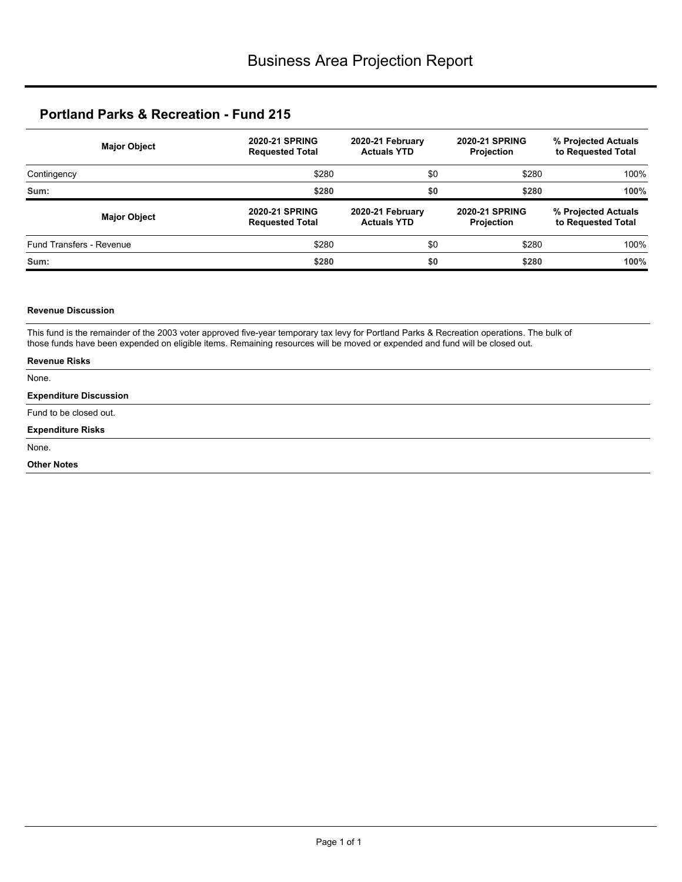| <b>Major Object</b>             | <b>2020-21 SPRING</b><br><b>Requested Total</b> | 2020-21 February<br><b>Actuals YTD</b> | <b>2020-21 SPRING</b><br><b>Projection</b> | % Projected Actuals<br>to Requested Total |
|---------------------------------|-------------------------------------------------|----------------------------------------|--------------------------------------------|-------------------------------------------|
| Contingency                     | \$280                                           | \$0                                    | \$280                                      | 100%                                      |
| Sum:                            | \$280                                           | \$0                                    | \$280                                      | 100%                                      |
|                                 |                                                 |                                        |                                            |                                           |
| <b>Major Object</b>             | <b>2020-21 SPRING</b><br><b>Requested Total</b> | 2020-21 February<br><b>Actuals YTD</b> | <b>2020-21 SPRING</b><br><b>Projection</b> | % Projected Actuals<br>to Requested Total |
| <b>Fund Transfers - Revenue</b> | \$280                                           | \$0                                    | \$280                                      | 100%                                      |

#### **Revenue Discussion**

This fund is the remainder of the 2003 voter approved five-year temporary tax levy for Portland Parks & Recreation operations. The bulk of those funds have been expended on eligible items. Remaining resources will be moved or expended and fund will be closed out.

| <b>Revenue Risks</b>          |  |
|-------------------------------|--|
| None.                         |  |
| <b>Expenditure Discussion</b> |  |
| Fund to be closed out.        |  |
| <b>Expenditure Risks</b>      |  |
| None.                         |  |
| <b>Other Notes</b>            |  |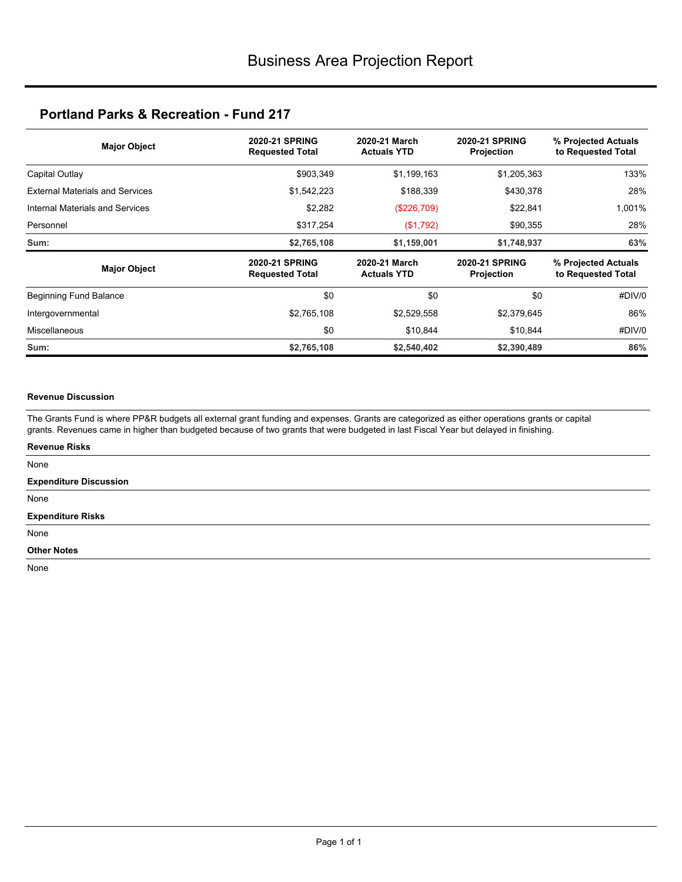| <b>Major Object</b>                    | <b>2020-21 SPRING</b><br><b>Requested Total</b> | 2020-21 March<br><b>Actuals YTD</b> | <b>2020-21 SPRING</b><br><b>Projection</b> | % Projected Actuals<br>to Requested Total |  |
|----------------------------------------|-------------------------------------------------|-------------------------------------|--------------------------------------------|-------------------------------------------|--|
| Capital Outlay                         | \$903,349                                       | \$1,199,163                         | \$1,205,363                                | 133%                                      |  |
| <b>External Materials and Services</b> | \$1,542,223                                     | \$188,339                           | \$430,378                                  | 28%                                       |  |
| Internal Materials and Services        | \$2,282                                         | (\$226,709)                         | \$22,841                                   | 1,001%                                    |  |
| Personnel                              | \$317,254                                       | (\$1,792)                           | \$90,355                                   | 28%                                       |  |
| Sum:                                   | \$2,765,108                                     | \$1,159,001                         | \$1,748,937                                | 63%                                       |  |
| <b>Major Object</b>                    | <b>2020-21 SPRING</b><br><b>Requested Total</b> | 2020-21 March<br><b>Actuals YTD</b> | <b>2020-21 SPRING</b><br>Projection        | % Projected Actuals<br>to Requested Total |  |
| Beginning Fund Balance                 | \$0                                             | \$0                                 | \$0                                        | #DIV/0                                    |  |
| Intergovernmental                      | \$2,765,108                                     | \$2,529,558                         | \$2,379,645                                | 86%                                       |  |
| <b>Miscellaneous</b>                   | \$0                                             | \$10,844                            | \$10,844                                   | #DIV/0                                    |  |
| Sum:                                   | \$2,765,108                                     | \$2,540,402                         | \$2,390,489                                | 86%                                       |  |

### **Revenue Discussion**

The Grants Fund is where PP&R budgets all external grant funding and expenses. Grants are categorized as either operations grants or capital grants. Revenues came in higher than budgeted because of two grants that were budgeted in last Fiscal Year but delayed in finishing.

| <b>Revenue Risks</b>          |  |
|-------------------------------|--|
| None                          |  |
| <b>Expenditure Discussion</b> |  |
| None                          |  |
| <b>Expenditure Risks</b>      |  |
| None                          |  |
| <b>Other Notes</b>            |  |
| $\sim$ $\sim$                 |  |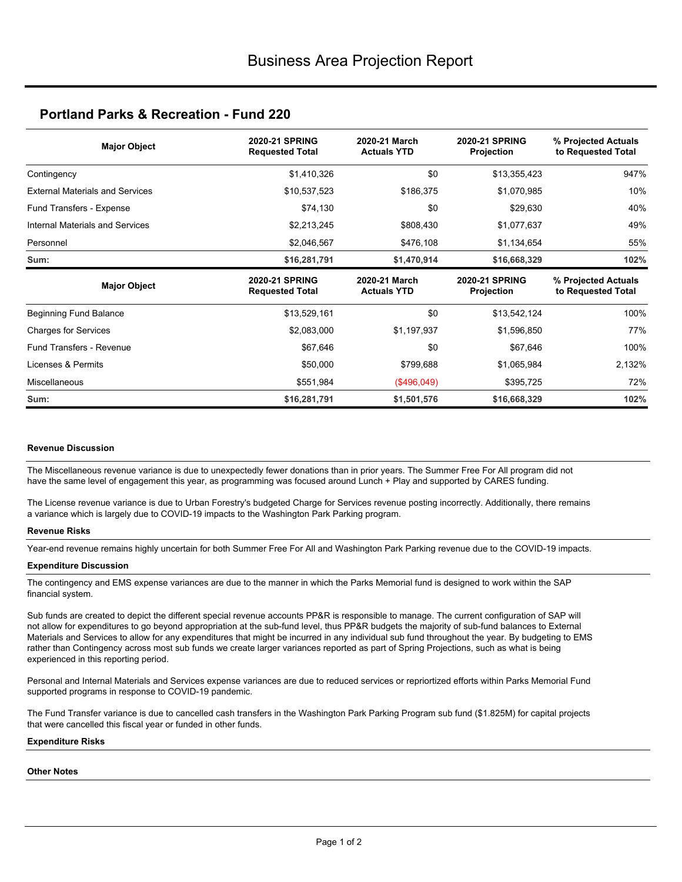| <b>Major Object</b>                    | <b>2020-21 SPRING</b><br><b>Requested Total</b> | 2020-21 March<br><b>Actuals YTD</b> | <b>2020-21 SPRING</b><br>Projection | % Projected Actuals<br>to Requested Total |
|----------------------------------------|-------------------------------------------------|-------------------------------------|-------------------------------------|-------------------------------------------|
| Contingency                            | \$1,410,326                                     | \$0                                 | \$13,355,423                        | 947%                                      |
| <b>External Materials and Services</b> | \$10,537,523                                    | \$186,375                           | \$1,070,985                         | 10%                                       |
| Fund Transfers - Expense               | \$74,130                                        | \$0                                 | \$29,630                            | 40%                                       |
| Internal Materials and Services        | \$2,213,245                                     | \$808,430                           | \$1,077,637                         | 49%                                       |
| Personnel                              | \$2,046,567                                     | \$476,108                           | \$1,134,654                         | 55%                                       |
| Sum:                                   | \$16,281,791                                    | \$1,470,914                         | \$16,668,329                        | 102%                                      |
|                                        |                                                 |                                     |                                     |                                           |
| <b>Major Object</b>                    | <b>2020-21 SPRING</b><br><b>Requested Total</b> | 2020-21 March<br><b>Actuals YTD</b> | <b>2020-21 SPRING</b><br>Projection | % Projected Actuals<br>to Requested Total |
| Beginning Fund Balance                 | \$13,529,161                                    | \$0                                 | \$13,542,124                        | 100%                                      |
| <b>Charges for Services</b>            | \$2,083,000                                     | \$1,197,937                         | \$1,596,850                         | 77%                                       |
| <b>Fund Transfers - Revenue</b>        | \$67,646                                        | \$0                                 | \$67,646                            | 100%                                      |
| Licenses & Permits                     | \$50,000                                        | \$799,688                           | \$1,065,984                         | 2,132%                                    |
| <b>Miscellaneous</b>                   | \$551,984                                       | (\$496,049)                         | \$395,725                           | 72%                                       |

### **Revenue Discussion**

The Miscellaneous revenue variance is due to unexpectedly fewer donations than in prior years. The Summer Free For All program did not have the same level of engagement this year, as programming was focused around Lunch + Play and supported by CARES funding.

The License revenue variance is due to Urban Forestry's budgeted Charge for Services revenue posting incorrectly. Additionally, there remains a variance which is largely due to COVID-19 impacts to the Washington Park Parking program.

#### **Revenue Risks**

Year-end revenue remains highly uncertain for both Summer Free For All and Washington Park Parking revenue due to the COVID-19 impacts.

#### **Expenditure Discussion**

The contingency and EMS expense variances are due to the manner in which the Parks Memorial fund is designed to work within the SAP financial system.

Sub funds are created to depict the different special revenue accounts PP&R is responsible to manage. The current configuration of SAP will not allow for expenditures to go beyond appropriation at the sub-fund level, thus PP&R budgets the majority of sub-fund balances to External Materials and Services to allow for any expenditures that might be incurred in any individual sub fund throughout the year. By budgeting to EMS rather than Contingency across most sub funds we create larger variances reported as part of Spring Projections, such as what is being experienced in this reporting period.

Personal and Internal Materials and Services expense variances are due to reduced services or repriortized efforts within Parks Memorial Fund supported programs in response to COVID-19 pandemic.

The Fund Transfer variance is due to cancelled cash transfers in the Washington Park Parking Program sub fund (\$1.825M) for capital projects that were cancelled this fiscal year or funded in other funds.

### **Expenditure Risks**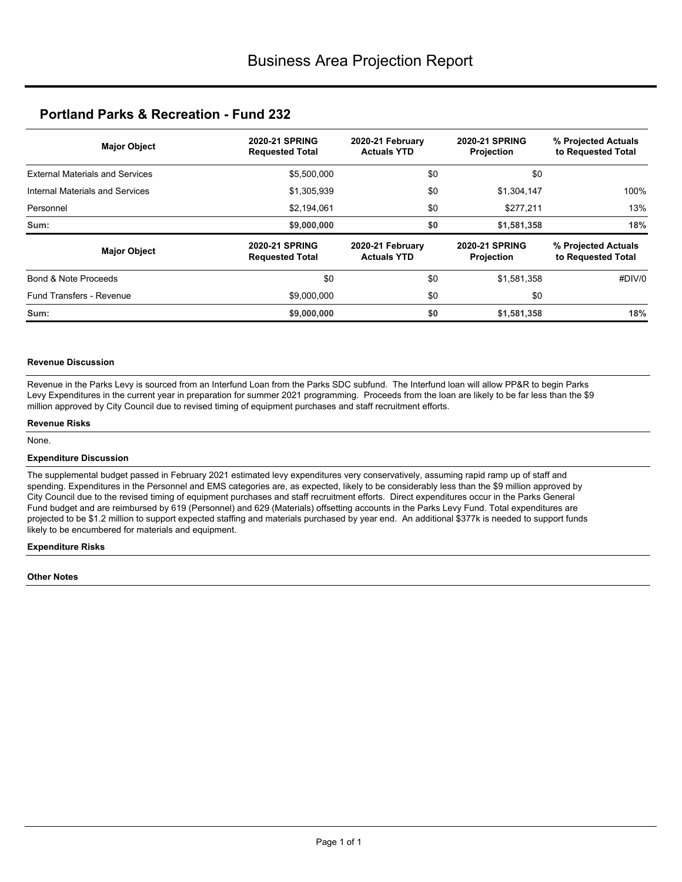| <b>Major Object</b>                    | <b>2020-21 SPRING</b><br><b>2020-21 SPRING</b><br>2020-21 February<br><b>Actuals YTD</b><br><b>Requested Total</b> |                                        |                                            | % Projected Actuals<br>to Requested Total |  |
|----------------------------------------|--------------------------------------------------------------------------------------------------------------------|----------------------------------------|--------------------------------------------|-------------------------------------------|--|
| <b>External Materials and Services</b> | \$5,500,000                                                                                                        | \$0                                    | \$0                                        |                                           |  |
| Internal Materials and Services        | \$1,305,939                                                                                                        | \$0                                    | \$1,304,147                                | 100%                                      |  |
| Personnel                              | \$2,194,061                                                                                                        | \$0                                    | \$277,211                                  | 13%                                       |  |
| Sum:                                   | \$9,000,000                                                                                                        | \$0                                    | \$1,581,358                                | 18%                                       |  |
| <b>Major Object</b>                    | <b>2020-21 SPRING</b><br><b>Requested Total</b>                                                                    | 2020-21 February<br><b>Actuals YTD</b> | <b>2020-21 SPRING</b><br><b>Projection</b> | % Projected Actuals<br>to Requested Total |  |
| Bond & Note Proceeds                   | \$0                                                                                                                | \$0                                    | \$1,581,358                                | #DIV/0                                    |  |
| Fund Transfers - Revenue               | \$9,000,000                                                                                                        | \$0                                    | \$0                                        |                                           |  |
| Sum:                                   | \$9,000,000                                                                                                        | \$0                                    | \$1,581,358                                | 18%                                       |  |

### **Revenue Discussion**

Revenue in the Parks Levy is sourced from an Interfund Loan from the Parks SDC subfund. The Interfund loan will allow PP&R to begin Parks Levy Expenditures in the current year in preparation for summer 2021 programming. Proceeds from the loan are likely to be far less than the \$9 million approved by City Council due to revised timing of equipment purchases and staff recruitment efforts.

#### **Revenue Risks**

None.

#### **Expenditure Discussion**

The supplemental budget passed in February 2021 estimated levy expenditures very conservatively, assuming rapid ramp up of staff and spending. Expenditures in the Personnel and EMS categories are, as expected, likely to be considerably less than the \$9 million approved by City Council due to the revised timing of equipment purchases and staff recruitment efforts. Direct expenditures occur in the Parks General Fund budget and are reimbursed by 619 (Personnel) and 629 (Materials) offsetting accounts in the Parks Levy Fund. Total expenditures are projected to be \$1.2 million to support expected staffing and materials purchased by year end. An additional \$377k is needed to support funds likely to be encumbered for materials and equipment.

#### **Expenditure Risks**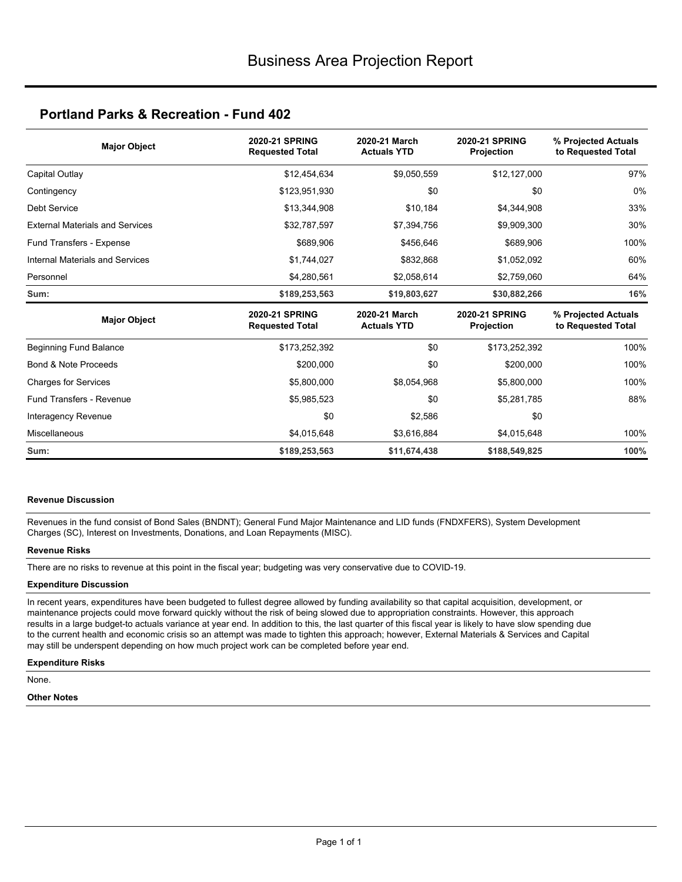| <b>Major Object</b>                    | <b>2020-21 SPRING</b><br><b>Requested Total</b> | 2020-21 March<br><b>Actuals YTD</b> | <b>2020-21 SPRING</b><br>Projection        | % Projected Actuals<br>to Requested Total |
|----------------------------------------|-------------------------------------------------|-------------------------------------|--------------------------------------------|-------------------------------------------|
| Capital Outlay                         | \$12,454,634                                    | \$9,050,559                         | \$12,127,000                               | 97%                                       |
| Contingency                            | \$123,951,930                                   | \$0                                 | \$0                                        | 0%                                        |
| <b>Debt Service</b>                    | \$13,344,908                                    | \$10,184                            | \$4,344,908                                | 33%                                       |
| <b>External Materials and Services</b> | \$32,787,597                                    | \$7,394,756                         | \$9,909,300                                | 30%                                       |
| Fund Transfers - Expense               | \$689,906                                       | \$456,646                           | \$689,906                                  | 100%                                      |
| Internal Materials and Services        | \$1,744,027                                     | \$832,868                           | \$1,052,092                                | 60%                                       |
| Personnel                              | \$4,280,561                                     | \$2,058,614                         | \$2,759,060                                | 64%                                       |
| Sum:                                   | \$189,253,563                                   | \$19,803,627                        | \$30,882,266                               | 16%                                       |
| <b>Major Object</b>                    | <b>2020-21 SPRING</b><br><b>Requested Total</b> | 2020-21 March<br><b>Actuals YTD</b> | <b>2020-21 SPRING</b><br><b>Projection</b> | % Projected Actuals<br>to Requested Total |
| Beginning Fund Balance                 | \$173,252,392                                   | \$0                                 | \$173,252,392                              | 100%                                      |
| Bond & Note Proceeds                   | \$200,000                                       | \$0                                 | \$200,000                                  | 100%                                      |
| <b>Charges for Services</b>            | \$5,800,000                                     | \$8,054,968                         | \$5,800,000                                | 100%                                      |
| <b>Fund Transfers - Revenue</b>        | \$5,985,523                                     | \$0                                 | \$5,281,785                                | 88%                                       |
| Interagency Revenue                    | \$0                                             | \$2,586                             | \$0                                        |                                           |
| Miscellaneous                          | \$4,015,648                                     | \$3,616,884                         | \$4,015,648                                | 100%                                      |
| Sum:                                   | \$189,253,563                                   | \$11,674,438                        | \$188,549,825                              | 100%                                      |

#### **Revenue Discussion**

Revenues in the fund consist of Bond Sales (BNDNT); General Fund Major Maintenance and LID funds (FNDXFERS), System Development Charges (SC), Interest on Investments, Donations, and Loan Repayments (MISC).

### **Revenue Risks**

There are no risks to revenue at this point in the fiscal year; budgeting was very conservative due to COVID-19.

#### **Expenditure Discussion**

In recent years, expenditures have been budgeted to fullest degree allowed by funding availability so that capital acquisition, development, or maintenance projects could move forward quickly without the risk of being slowed due to appropriation constraints. However, this approach results in a large budget-to actuals variance at year end. In addition to this, the last quarter of this fiscal year is likely to have slow spending due to the current health and economic crisis so an attempt was made to tighten this approach; however, External Materials & Services and Capital may still be underspent depending on how much project work can be completed before year end.

#### **Expenditure Risks**

None.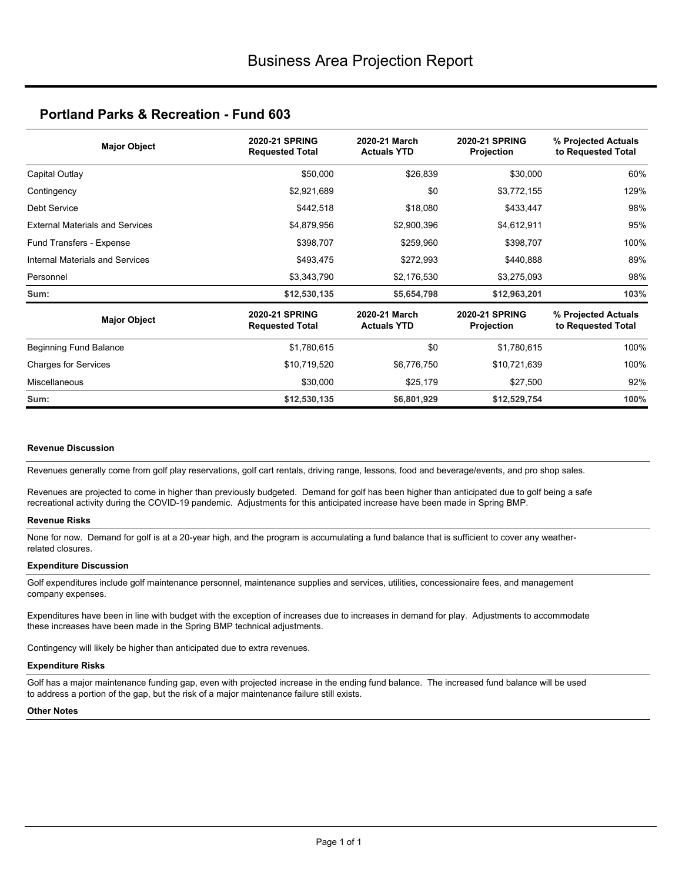| <b>Major Object</b>                    | <b>2020-21 SPRING</b><br>2020-21 March<br><b>2020-21 SPRING</b><br><b>Actuals YTD</b><br><b>Requested Total</b><br>Projection |                                     | % Projected Actuals<br>to Requested Total  |                                           |
|----------------------------------------|-------------------------------------------------------------------------------------------------------------------------------|-------------------------------------|--------------------------------------------|-------------------------------------------|
| Capital Outlay                         | \$50,000                                                                                                                      | \$26,839                            | \$30,000                                   | 60%                                       |
| Contingency                            | \$2,921,689                                                                                                                   | \$0                                 | \$3,772,155                                | 129%                                      |
| Debt Service                           | \$442,518                                                                                                                     | \$18,080                            | \$433,447                                  | 98%                                       |
| <b>External Materials and Services</b> | \$4,879,956                                                                                                                   | \$2,900,396                         | \$4,612,911                                | 95%                                       |
| Fund Transfers - Expense               | \$398,707                                                                                                                     | \$259,960                           | \$398,707                                  | 100%                                      |
| Internal Materials and Services        | \$493,475                                                                                                                     | \$272,993                           | \$440,888                                  | 89%                                       |
| Personnel                              | \$3,343,790                                                                                                                   | \$2,176,530                         | \$3,275,093                                | 98%                                       |
| Sum:                                   | \$12,530,135                                                                                                                  | \$5,654,798                         | \$12,963,201                               | 103%                                      |
| <b>Major Object</b>                    | <b>2020-21 SPRING</b><br><b>Requested Total</b>                                                                               | 2020-21 March<br><b>Actuals YTD</b> | <b>2020-21 SPRING</b><br><b>Projection</b> | % Projected Actuals<br>to Requested Total |
| Beginning Fund Balance                 | \$1,780,615                                                                                                                   | \$0                                 | \$1,780,615                                | 100%                                      |
| <b>Charges for Services</b>            | \$10,719,520                                                                                                                  | \$6,776,750                         | \$10,721,639                               | 100%                                      |
| Miscellaneous                          | \$30,000                                                                                                                      | \$25,179                            | \$27,500                                   | 92%                                       |
| Sum:                                   | \$12,530,135                                                                                                                  | \$6,801,929                         | \$12,529,754                               | 100%                                      |

#### **Revenue Discussion**

Revenues generally come from golf play reservations, golf cart rentals, driving range, lessons, food and beverage/events, and pro shop sales.

Revenues are projected to come in higher than previously budgeted. Demand for golf has been higher than anticipated due to golf being a safe recreational activity during the COVID-19 pandemic. Adjustments for this anticipated increase have been made in Spring BMP.

#### **Revenue Risks**

None for now. Demand for golf is at a 20-year high, and the program is accumulating a fund balance that is sufficient to cover any weatherrelated closures.

#### **Expenditure Discussion**

Golf expenditures include golf maintenance personnel, maintenance supplies and services, utilities, concessionaire fees, and management company expenses.

Expenditures have been in line with budget with the exception of increases due to increases in demand for play. Adjustments to accommodate these increases have been made in the Spring BMP technical adjustments.

Contingency will likely be higher than anticipated due to extra revenues.

#### **Expenditure Risks**

Golf has a major maintenance funding gap, even with projected increase in the ending fund balance. The increased fund balance will be used to address a portion of the gap, but the risk of a major maintenance failure still exists.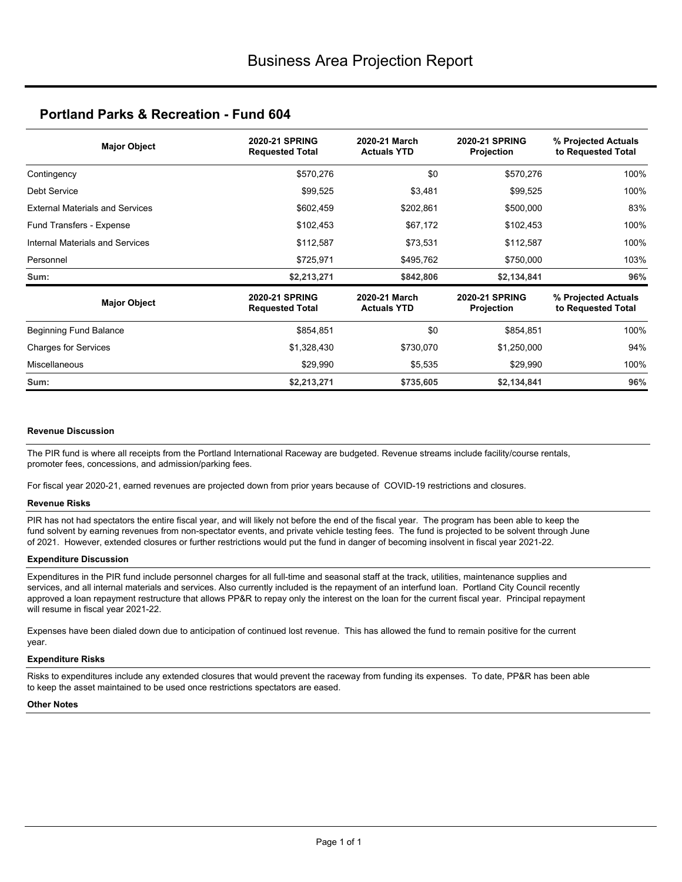| <b>Major Object</b>                    | <b>2020-21 SPRING</b><br><b>Requested Total</b> | 2020-21 March<br><b>Actuals YTD</b> |                                            | % Projected Actuals<br>to Requested Total |     |
|----------------------------------------|-------------------------------------------------|-------------------------------------|--------------------------------------------|-------------------------------------------|-----|
| Contingency                            | \$570,276                                       | \$0                                 | \$570,276                                  | 100%                                      |     |
| Debt Service                           | \$99,525                                        | \$3,481                             | \$99,525                                   | 100%                                      |     |
| <b>External Materials and Services</b> | \$602,459                                       | \$202,861                           | \$500,000                                  | 83%                                       |     |
| Fund Transfers - Expense               | \$102,453                                       | \$67,172                            | \$102,453                                  | 100%                                      |     |
| Internal Materials and Services        | \$112,587                                       | \$73,531                            | \$112,587                                  | 100%                                      |     |
| Personnel                              | \$725,971                                       | \$495,762                           | \$750,000                                  | 103%                                      |     |
| Sum:                                   | \$2,213,271                                     | \$842,806                           | \$2,134,841                                | 96%                                       |     |
| <b>Major Object</b>                    | <b>2020-21 SPRING</b><br><b>Requested Total</b> | 2020-21 March<br><b>Actuals YTD</b> | <b>2020-21 SPRING</b><br><b>Projection</b> | % Projected Actuals<br>to Requested Total |     |
| Beginning Fund Balance                 | \$854,851                                       | \$0                                 | \$854,851                                  | 100%                                      |     |
| <b>Charges for Services</b>            | \$1,328,430<br>\$730,070                        |                                     |                                            | \$1,250,000                               | 94% |
| <b>Miscellaneous</b>                   | \$29,990                                        | \$5,535                             | \$29,990                                   | 100%                                      |     |
| Sum:                                   | \$2,213,271                                     | \$735,605                           | \$2,134,841                                | 96%                                       |     |

#### **Revenue Discussion**

The PIR fund is where all receipts from the Portland International Raceway are budgeted. Revenue streams include facility/course rentals, promoter fees, concessions, and admission/parking fees.

For fiscal year 2020-21, earned revenues are projected down from prior years because of COVID-19 restrictions and closures.

### **Revenue Risks**

PIR has not had spectators the entire fiscal year, and will likely not before the end of the fiscal year. The program has been able to keep the fund solvent by earning revenues from non-spectator events, and private vehicle testing fees. The fund is projected to be solvent through June of 2021. However, extended closures or further restrictions would put the fund in danger of becoming insolvent in fiscal year 2021-22.

#### **Expenditure Discussion**

Expenditures in the PIR fund include personnel charges for all full-time and seasonal staff at the track, utilities, maintenance supplies and services, and all internal materials and services. Also currently included is the repayment of an interfund loan. Portland City Council recently approved a loan repayment restructure that allows PP&R to repay only the interest on the loan for the current fiscal year. Principal repayment will resume in fiscal year 2021-22.

Expenses have been dialed down due to anticipation of continued lost revenue. This has allowed the fund to remain positive for the current year.

#### **Expenditure Risks**

Risks to expenditures include any extended closures that would prevent the raceway from funding its expenses. To date, PP&R has been able to keep the asset maintained to be used once restrictions spectators are eased.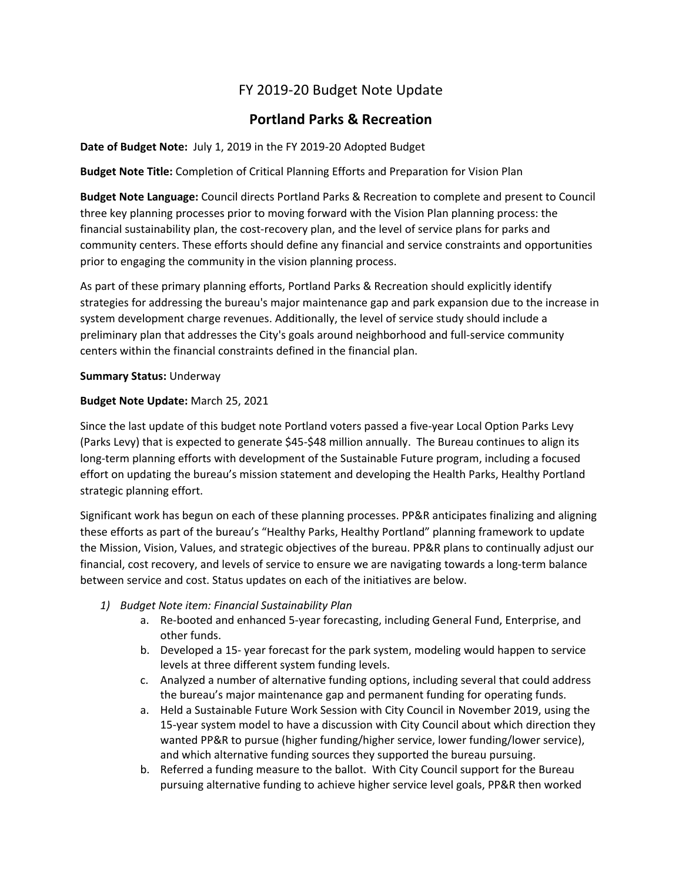# FY 2019-20 Budget Note Update

# **Portland Parks & Recreation**

### **Date of Budget Note:** July 1, 2019 in the FY 2019-20 Adopted Budget

**Budget Note Title:** Completion of Critical Planning Efforts and Preparation for Vision Plan

**Budget Note Language:** Council directs Portland Parks & Recreation to complete and present to Council three key planning processes prior to moving forward with the Vision Plan planning process: the financial sustainability plan, the cost-recovery plan, and the level of service plans for parks and community centers. These efforts should define any financial and service constraints and opportunities prior to engaging the community in the vision planning process.

As part of these primary planning efforts, Portland Parks & Recreation should explicitly identify strategies for addressing the bureau's major maintenance gap and park expansion due to the increase in system development charge revenues. Additionally, the level of service study should include a preliminary plan that addresses the City's goals around neighborhood and full-service community centers within the financial constraints defined in the financial plan.

### **Summary Status:** Underway

### **Budget Note Update:** March 25, 2021

Since the last update of this budget note Portland voters passed a five-year Local Option Parks Levy (Parks Levy) that is expected to generate \$45-\$48 million annually. The Bureau continues to align its long-term planning efforts with development of the Sustainable Future program, including a focused effort on updating the bureau's mission statement and developing the Health Parks, Healthy Portland strategic planning effort.

Significant work has begun on each of these planning processes. PP&R anticipates finalizing and aligning these efforts as part of the bureau's "Healthy Parks, Healthy Portland" planning framework to update the Mission, Vision, Values, and strategic objectives of the bureau. PP&R plans to continually adjust our financial, cost recovery, and levels of service to ensure we are navigating towards a long-term balance between service and cost. Status updates on each of the initiatives are below.

- *1) Budget Note item: Financial Sustainability Plan*
	- a. Re-booted and enhanced 5-year forecasting, including General Fund, Enterprise, and other funds.
	- b. Developed a 15- year forecast for the park system, modeling would happen to service levels at three different system funding levels.
	- c. Analyzed a number of alternative funding options, including several that could address the bureau's major maintenance gap and permanent funding for operating funds.
	- a. Held a Sustainable Future Work Session with City Council in November 2019, using the 15-year system model to have a discussion with City Council about which direction they wanted PP&R to pursue (higher funding/higher service, lower funding/lower service), and which alternative funding sources they supported the bureau pursuing.
	- b. Referred a funding measure to the ballot. With City Council support for the Bureau pursuing alternative funding to achieve higher service level goals, PP&R then worked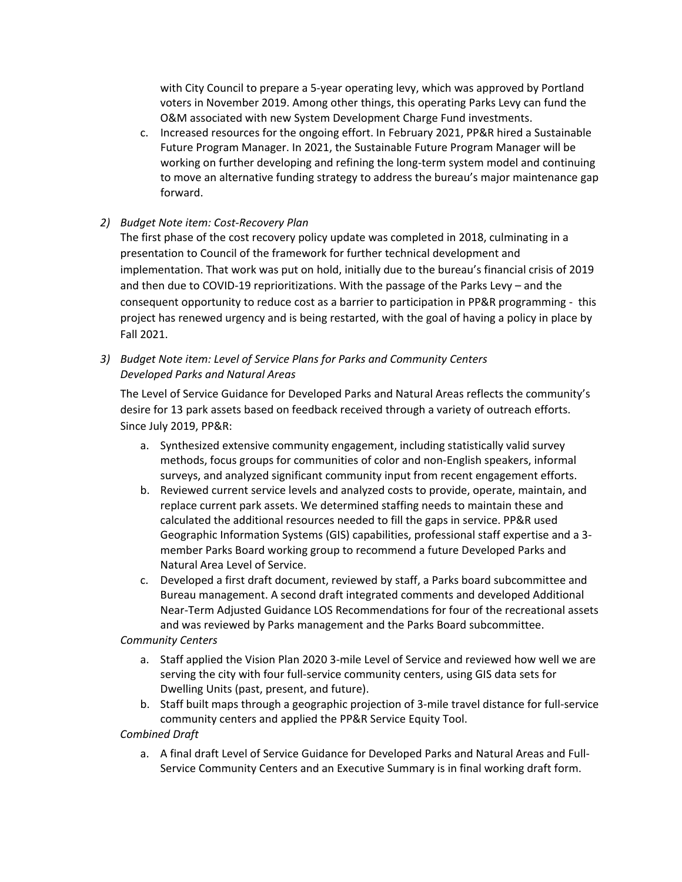with City Council to prepare a 5-year operating levy, which was approved by Portland voters in November 2019. Among other things, this operating Parks Levy can fund the O&M associated with new System Development Charge Fund investments.

c. Increased resources for the ongoing effort. In February 2021, PP&R hired a Sustainable Future Program Manager. In 2021, the Sustainable Future Program Manager will be working on further developing and refining the long-term system model and continuing to move an alternative funding strategy to address the bureau's major maintenance gap forward.

### *2) Budget Note item: Cost-Recovery Plan*

The first phase of the cost recovery policy update was completed in 2018, culminating in a presentation to Council of the framework for further technical development and implementation. That work was put on hold, initially due to the bureau's financial crisis of 2019 and then due to COVID-19 reprioritizations. With the passage of the Parks Levy – and the consequent opportunity to reduce cost as a barrier to participation in PP&R programming - this project has renewed urgency and is being restarted, with the goal of having a policy in place by Fall 2021.

## *3) Budget Note item: Level of Service Plans for Parks and Community Centers Developed Parks and Natural Areas*

The Level of Service Guidance for Developed Parks and Natural Areas reflects the community's desire for 13 park assets based on feedback received through a variety of outreach efforts. Since July 2019, PP&R:

- a. Synthesized extensive community engagement, including statistically valid survey methods, focus groups for communities of color and non-English speakers, informal surveys, and analyzed significant community input from recent engagement efforts.
- b. Reviewed current service levels and analyzed costs to provide, operate, maintain, and replace current park assets. We determined staffing needs to maintain these and calculated the additional resources needed to fill the gaps in service. PP&R used Geographic Information Systems (GIS) capabilities, professional staff expertise and a 3 member Parks Board working group to recommend a future Developed Parks and Natural Area Level of Service.
- c. Developed a first draft document, reviewed by staff, a Parks board subcommittee and Bureau management. A second draft integrated comments and developed Additional Near-Term Adjusted Guidance LOS Recommendations for four of the recreational assets and was reviewed by Parks management and the Parks Board subcommittee.

### *Community Centers*

- a. Staff applied the Vision Plan 2020 3-mile Level of Service and reviewed how well we are serving the city with four full-service community centers, using GIS data sets for Dwelling Units (past, present, and future).
- b. Staff built maps through a geographic projection of 3-mile travel distance for full-service community centers and applied the PP&R Service Equity Tool.

*Combined Draft*

a. A final draft Level of Service Guidance for Developed Parks and Natural Areas and Full-Service Community Centers and an Executive Summary is in final working draft form.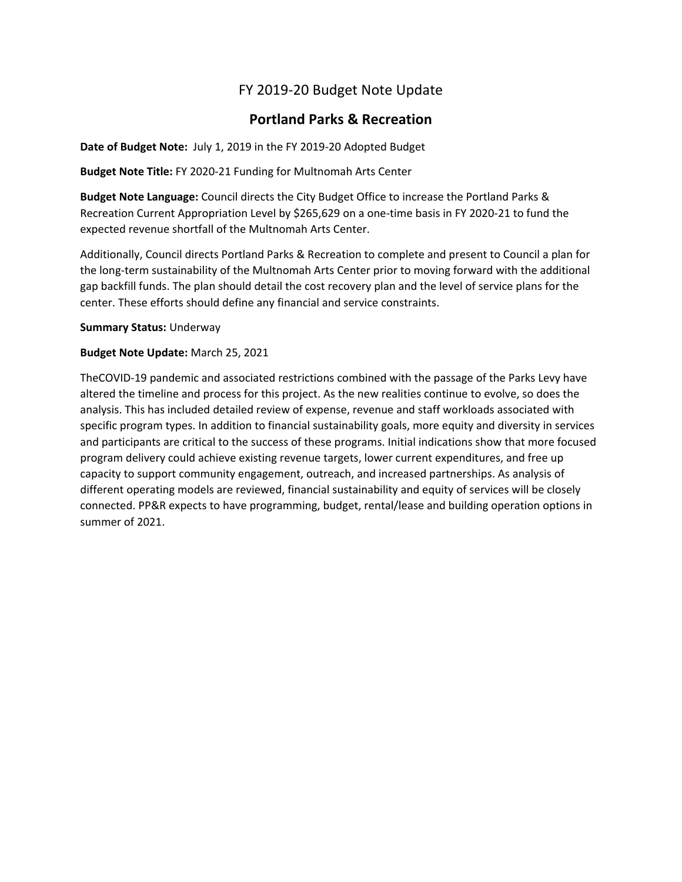# FY 2019-20 Budget Note Update

# **Portland Parks & Recreation**

**Date of Budget Note:** July 1, 2019 in the FY 2019-20 Adopted Budget

**Budget Note Title:** FY 2020-21 Funding for Multnomah Arts Center

**Budget Note Language:** Council directs the City Budget Office to increase the Portland Parks & Recreation Current Appropriation Level by \$265,629 on a one-time basis in FY 2020-21 to fund the expected revenue shortfall of the Multnomah Arts Center.

Additionally, Council directs Portland Parks & Recreation to complete and present to Council a plan for the long-term sustainability of the Multnomah Arts Center prior to moving forward with the additional gap backfill funds. The plan should detail the cost recovery plan and the level of service plans for the center. These efforts should define any financial and service constraints.

**Summary Status:** Underway

### **Budget Note Update:** March 25, 2021

TheCOVID-19 pandemic and associated restrictions combined with the passage of the Parks Levy have altered the timeline and process for this project. As the new realities continue to evolve, so does the analysis. This has included detailed review of expense, revenue and staff workloads associated with specific program types. In addition to financial sustainability goals, more equity and diversity in services and participants are critical to the success of these programs. Initial indications show that more focused program delivery could achieve existing revenue targets, lower current expenditures, and free up capacity to support community engagement, outreach, and increased partnerships. As analysis of different operating models are reviewed, financial sustainability and equity of services will be closely connected. PP&R expects to have programming, budget, rental/lease and building operation options in summer of 2021.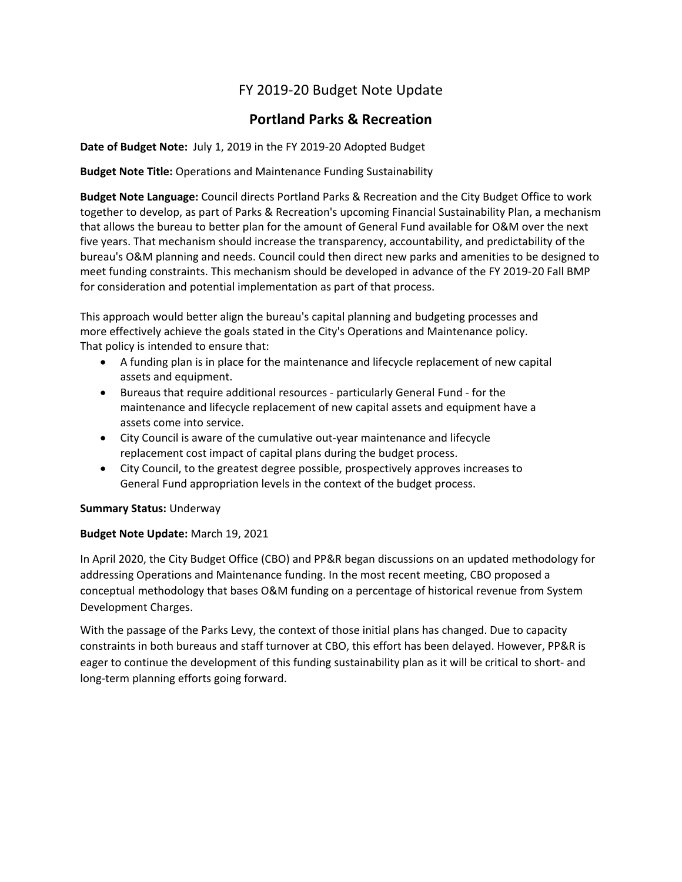# FY 2019-20 Budget Note Update

# **Portland Parks & Recreation**

**Date of Budget Note:** July 1, 2019 in the FY 2019-20 Adopted Budget

**Budget Note Title:** Operations and Maintenance Funding Sustainability

**Budget Note Language:** Council directs Portland Parks & Recreation and the City Budget Office to work together to develop, as part of Parks & Recreation's upcoming Financial Sustainability Plan, a mechanism that allows the bureau to better plan for the amount of General Fund available for O&M over the next five years. That mechanism should increase the transparency, accountability, and predictability of the bureau's O&M planning and needs. Council could then direct new parks and amenities to be designed to meet funding constraints. This mechanism should be developed in advance of the FY 2019-20 Fall BMP for consideration and potential implementation as part of that process.

This approach would better align the bureau's capital planning and budgeting processes and more effectively achieve the goals stated in the City's Operations and Maintenance policy. That policy is intended to ensure that:

- A funding plan is in place for the maintenance and lifecycle replacement of new capital assets and equipment.
- Bureaus that require additional resources particularly General Fund for the maintenance and lifecycle replacement of new capital assets and equipment have a assets come into service.
- City Council is aware of the cumulative out-year maintenance and lifecycle replacement cost impact of capital plans during the budget process.
- City Council, to the greatest degree possible, prospectively approves increases to General Fund appropriation levels in the context of the budget process.

### **Summary Status:** Underway

### **Budget Note Update:** March 19, 2021

In April 2020, the City Budget Office (CBO) and PP&R began discussions on an updated methodology for addressing Operations and Maintenance funding. In the most recent meeting, CBO proposed a conceptual methodology that bases O&M funding on a percentage of historical revenue from System Development Charges.

With the passage of the Parks Levy, the context of those initial plans has changed. Due to capacity constraints in both bureaus and staff turnover at CBO, this effort has been delayed. However, PP&R is eager to continue the development of this funding sustainability plan as it will be critical to short- and long-term planning efforts going forward.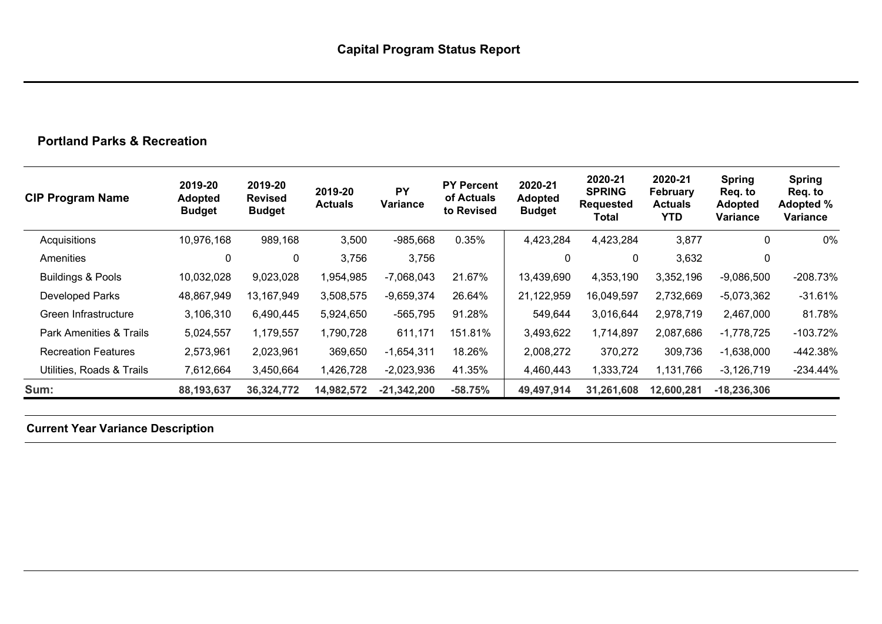# **Portland Parks & Recreation**

| <b>CIP Program Name</b>      | 2019-20<br><b>Adopted</b><br><b>Budget</b> | 2019-20<br><b>Revised</b><br><b>Budget</b> | 2019-20<br><b>Actuals</b> | <b>PY</b><br><b>Variance</b> | <b>PY Percent</b><br>of Actuals<br>to Revised | 2020-21<br><b>Adopted</b><br><b>Budget</b> | 2020-21<br><b>SPRING</b><br><b>Requested</b><br>Total | 2020-21<br>February<br><b>Actuals</b><br><b>YTD</b> | <b>Spring</b><br>Req. to<br><b>Adopted</b><br>Variance | <b>Spring</b><br>Req. to<br>Adopted %<br>Variance |
|------------------------------|--------------------------------------------|--------------------------------------------|---------------------------|------------------------------|-----------------------------------------------|--------------------------------------------|-------------------------------------------------------|-----------------------------------------------------|--------------------------------------------------------|---------------------------------------------------|
| Acquisitions                 | 10,976,168                                 | 989,168                                    | 3,500                     | $-985,668$                   | 0.35%                                         | 4,423,284                                  | 4,423,284                                             | 3,877                                               | 0                                                      | 0%                                                |
| Amenities                    | 0                                          | 0                                          | 3,756                     | 3,756                        |                                               | $\mathbf{0}$                               | 0                                                     | 3,632                                               | 0                                                      |                                                   |
| <b>Buildings &amp; Pools</b> | 10,032,028                                 | 9,023,028                                  | 1,954,985                 | $-7,068,043$                 | 21.67%                                        | 13,439,690                                 | 4,353,190                                             | 3,352,196                                           | $-9,086,500$                                           | $-208.73%$                                        |
| <b>Developed Parks</b>       | 48,867,949                                 | 13,167,949                                 | 3,508,575                 | $-9,659,374$                 | 26.64%                                        | 21,122,959                                 | 16,049,597                                            | 2,732,669                                           | $-5,073,362$                                           | $-31.61\%$                                        |
| Green Infrastructure         | 3,106,310                                  | 6,490,445                                  | 5,924,650                 | $-565,795$                   | 91.28%                                        | 549,644                                    | 3,016,644                                             | 2,978,719                                           | 2,467,000                                              | 81.78%                                            |
| Park Amenities & Trails      | 5,024,557                                  | 1,179,557                                  | 1,790,728                 | 611,171                      | 151.81%                                       | 3,493,622                                  | 1,714,897                                             | 2,087,686                                           | $-1,778,725$                                           | $-103.72\%$                                       |
| <b>Recreation Features</b>   | 2,573,961                                  | 2,023,961                                  | 369,650                   | $-1,654,311$                 | 18.26%                                        | 2,008,272                                  | 370,272                                               | 309,736                                             | $-1,638,000$                                           | -442.38%                                          |
| Utilities, Roads & Trails    | 7,612,664                                  | 3,450,664                                  | 1,426,728                 | $-2,023,936$                 | 41.35%                                        | 4,460,443                                  | 1,333,724                                             | 1,131,766                                           | $-3,126,719$                                           | $-234.44\%$                                       |
| Sum:                         | 88,193,637                                 | 36,324,772                                 | 14,982,572                | $-21,342,200$                | $-58.75%$                                     | 49,497,914                                 | 31,261,608                                            | 12,600,281                                          | $-18,236,306$                                          |                                                   |

**Current Year Variance Description**